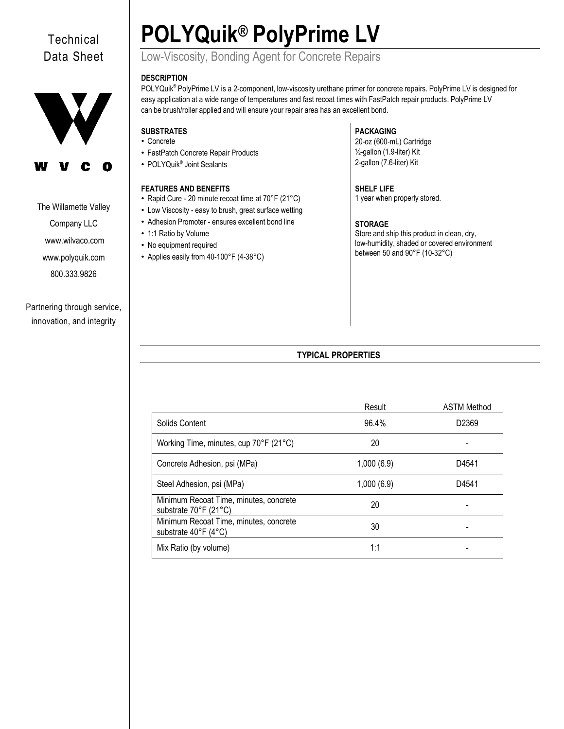# **Technical** Data Sheet



The Willamette Valley

Company LLC [www.wilvaco.com](http://www.wilvaco.com/)  [www.polyquik.com](http://www.polyquik.com/) 800.333.9826

Partnering through service, innovation, and integrity

# **POLYQuik® PolyPrime LV**

# Low-Viscosity, Bonding Agent for Concrete Repairs

## **DESCRIPTION**

POLYQuik® PolyPrime LV is a 2-component, low-viscosity urethane primer for concrete repairs. PolyPrime LV is designed for easy application at a wide range of temperatures and fast recoat times with FastPatch repair products. PolyPrime LV can be brush/roller applied and will ensure your repair area has an excellent bond.

# **SUBSTRATES**

- Concrete
- FastPatch Concrete Repair Products
- POLYQuik<sup>®</sup> Joint Sealants

# **FEATURES AND BENEFITS**

- Rapid Cure 20 minute recoat time at 70°F (21°C)
- Low Viscosity easy to brush, great surface wetting
- Adhesion Promoter ensures excellent bond line
- 1:1 Ratio by Volume
- No equipment required
- Applies easily from 40-100°F (4-38°C)

# **PACKAGING**

20-oz (600-mL) Cartridge ½-gallon (1.9-liter) Kit 2-gallon (7.6-liter) Kit

## **SHELF LIFE**

1 year when properly stored.

# **STORAGE**

Store and ship this product in clean, dry, low-humidity, shaded or covered environment between 50 and 90°F (10-32°C)

# **TYPICAL PROPERTIES**

|                                                                 | Result     | <b>ASTM Method</b> |
|-----------------------------------------------------------------|------------|--------------------|
| Solids Content                                                  | 96.4%      | D <sub>2369</sub>  |
| Working Time, minutes, cup 70°F (21°C)                          | 20         |                    |
| Concrete Adhesion, psi (MPa)                                    | 1,000(6.9) | D4541              |
| Steel Adhesion, psi (MPa)                                       | 1,000(6.9) | D4541              |
| Minimum Recoat Time, minutes, concrete<br>substrate 70°F (21°C) | 20         |                    |
| Minimum Recoat Time, minutes, concrete<br>substrate 40°F (4°C)  | 30         |                    |
| Mix Ratio (by volume)                                           | 1:1        |                    |